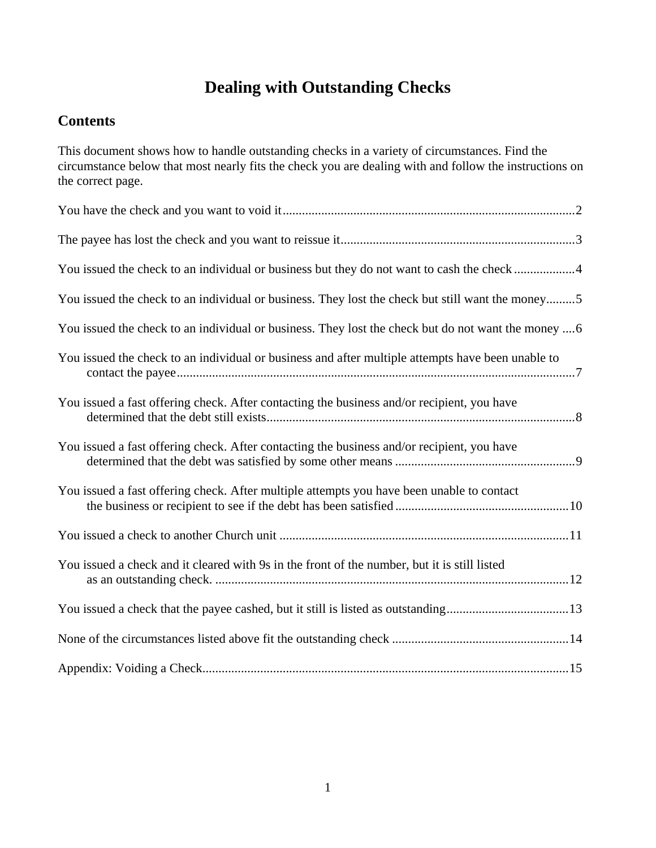# **Dealing with Outstanding Checks**

# **Contents**

| This document shows how to handle outstanding checks in a variety of circumstances. Find the<br>circumstance below that most nearly fits the check you are dealing with and follow the instructions on<br>the correct page. |
|-----------------------------------------------------------------------------------------------------------------------------------------------------------------------------------------------------------------------------|
|                                                                                                                                                                                                                             |
|                                                                                                                                                                                                                             |
| You issued the check to an individual or business but they do not want to cash the check 4                                                                                                                                  |
| You issued the check to an individual or business. They lost the check but still want the money5                                                                                                                            |
| You issued the check to an individual or business. They lost the check but do not want the money  6                                                                                                                         |
| You issued the check to an individual or business and after multiple attempts have been unable to                                                                                                                           |
| You issued a fast offering check. After contacting the business and/or recipient, you have                                                                                                                                  |
| You issued a fast offering check. After contacting the business and/or recipient, you have                                                                                                                                  |
| You issued a fast offering check. After multiple attempts you have been unable to contact                                                                                                                                   |
|                                                                                                                                                                                                                             |
| You issued a check and it cleared with 9s in the front of the number, but it is still listed                                                                                                                                |
|                                                                                                                                                                                                                             |
|                                                                                                                                                                                                                             |
|                                                                                                                                                                                                                             |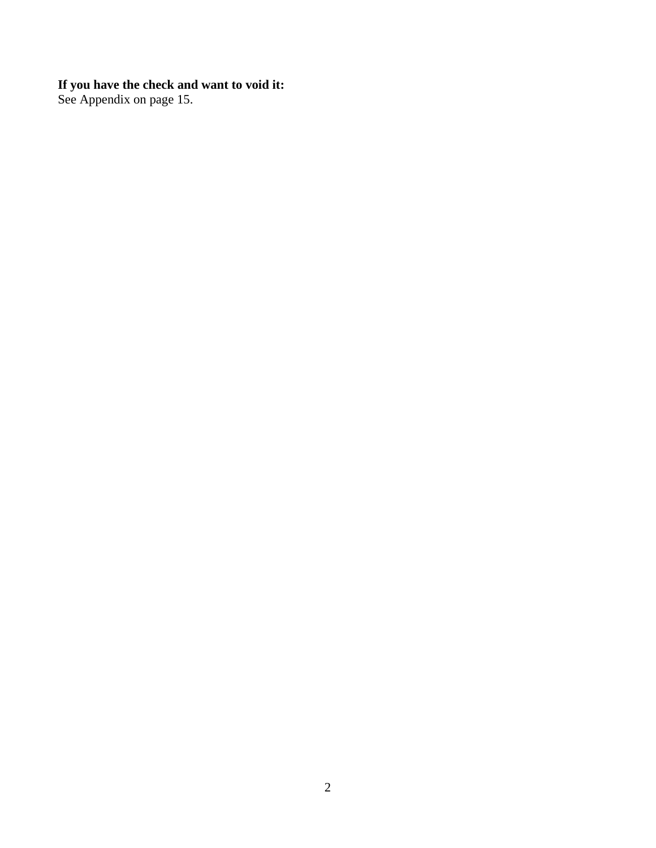#### **If you have the check and want to void it:**

See Appendix on page 15.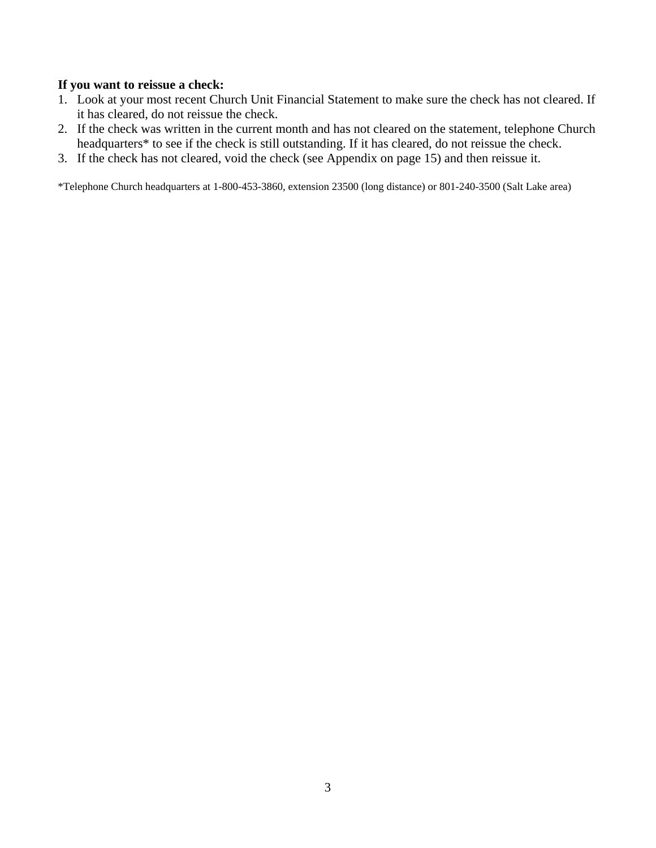#### **If you want to reissue a check:**

- 1. Look at your most recent Church Unit Financial Statement to make sure the check has not cleared. If it has cleared, do not reissue the check.
- 2. If the check was written in the current month and has not cleared on the statement, telephone Church headquarters<sup>\*</sup> to see if the check is still outstanding. If it has cleared, do not reissue the check.
- 3. If the check has not cleared, void the check (see Appendix on page 15) and then reissue it.

\*Telephone Church headquarters at 1-800-453-3860, extension 23500 (long distance) or 801-240-3500 (Salt Lake area)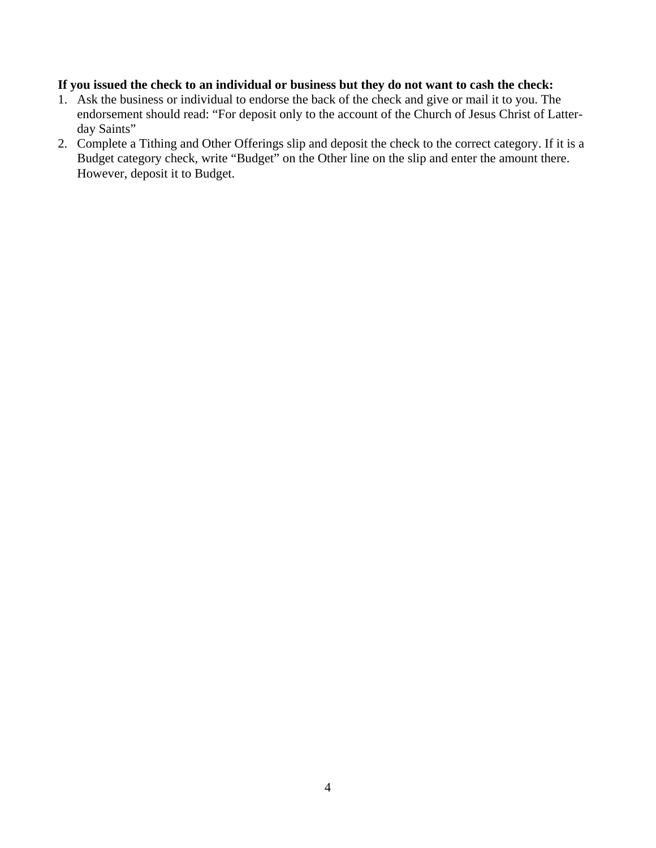#### **If you issued the check to an individual or business but they do not want to cash the check:**

- 1. Ask the business or individual to endorse the back of the check and give or mail it to you. The endorsement should read: "For deposit only to the account of the Church of Jesus Christ of Latterday Saints"
- 2. Complete a Tithing and Other Offerings slip and deposit the check to the correct category. If it is a Budget category check, write "Budget" on the Other line on the slip and enter the amount there. However, deposit it to Budget.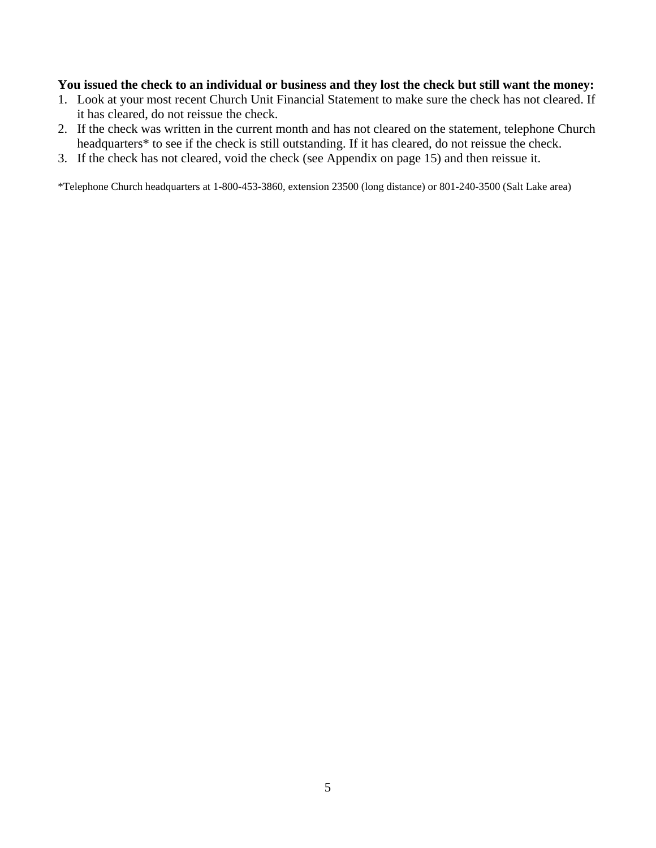#### **You issued the check to an individual or business and they lost the check but still want the money:**

- 1. Look at your most recent Church Unit Financial Statement to make sure the check has not cleared. If it has cleared, do not reissue the check.
- 2. If the check was written in the current month and has not cleared on the statement, telephone Church headquarters<sup>\*</sup> to see if the check is still outstanding. If it has cleared, do not reissue the check.
- 3. If the check has not cleared, void the check (see Appendix on page 15) and then reissue it.

\*Telephone Church headquarters at 1-800-453-3860, extension 23500 (long distance) or 801-240-3500 (Salt Lake area)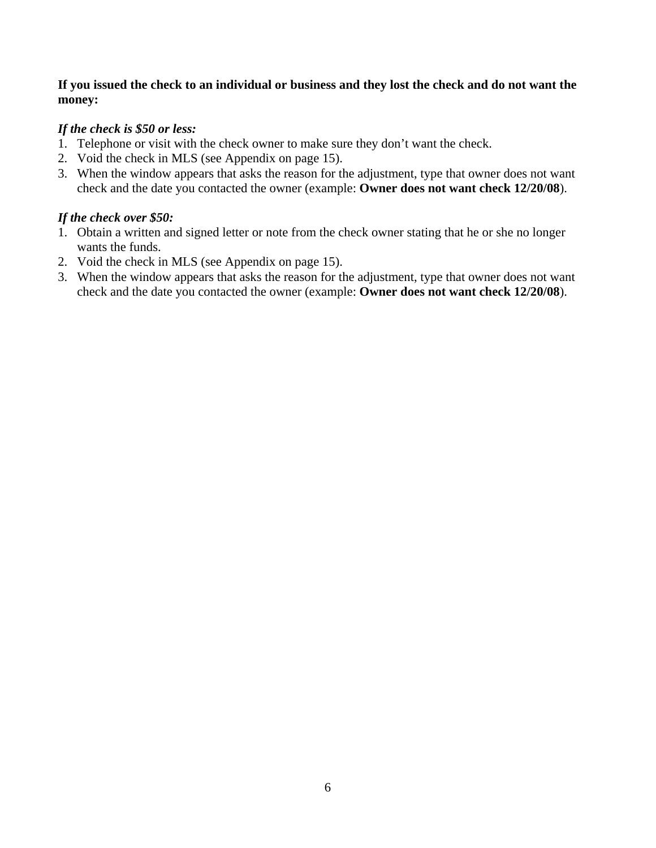#### **If you issued the check to an individual or business and they lost the check and do not want the money:**

#### *If the check is \$50 or less:*

- 1. Telephone or visit with the check owner to make sure they don't want the check.
- 2. Void the check in MLS (see Appendix on page 15).
- 3. When the window appears that asks the reason for the adjustment, type that owner does not want check and the date you contacted the owner (example: **Owner does not want check 12/20/08**).

#### *If the check over \$50:*

- 1. Obtain a written and signed letter or note from the check owner stating that he or she no longer wants the funds.
- 2. Void the check in MLS (see Appendix on page 15).
- 3. When the window appears that asks the reason for the adjustment, type that owner does not want check and the date you contacted the owner (example: **Owner does not want check 12/20/08**).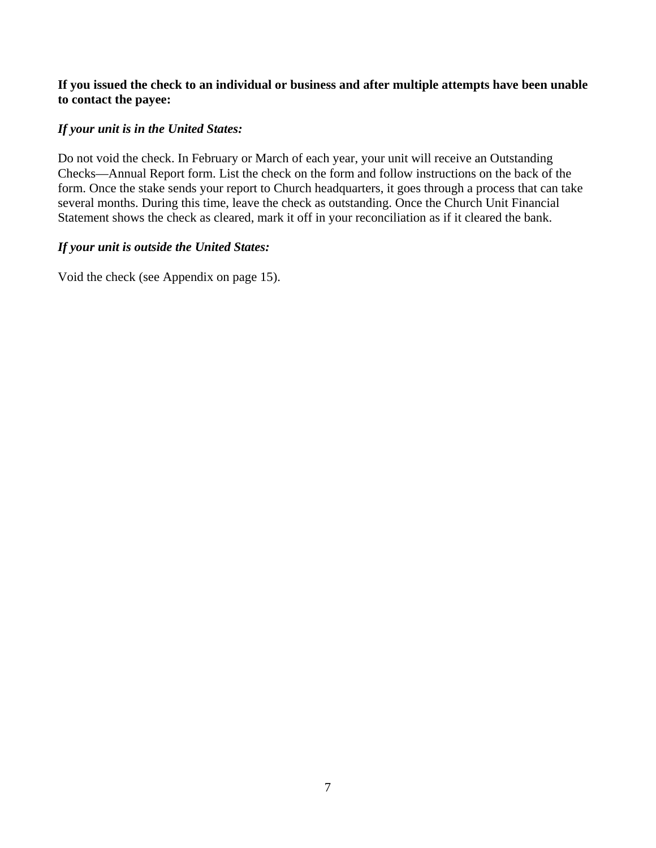#### **If you issued the check to an individual or business and after multiple attempts have been unable to contact the payee:**

#### *If your unit is in the United States:*

Do not void the check. In February or March of each year, your unit will receive an Outstanding Checks—Annual Report form. List the check on the form and follow instructions on the back of the form. Once the stake sends your report to Church headquarters, it goes through a process that can take several months. During this time, leave the check as outstanding. Once the Church Unit Financial Statement shows the check as cleared, mark it off in your reconciliation as if it cleared the bank.

#### *If your unit is outside the United States:*

Void the check (see Appendix on page 15).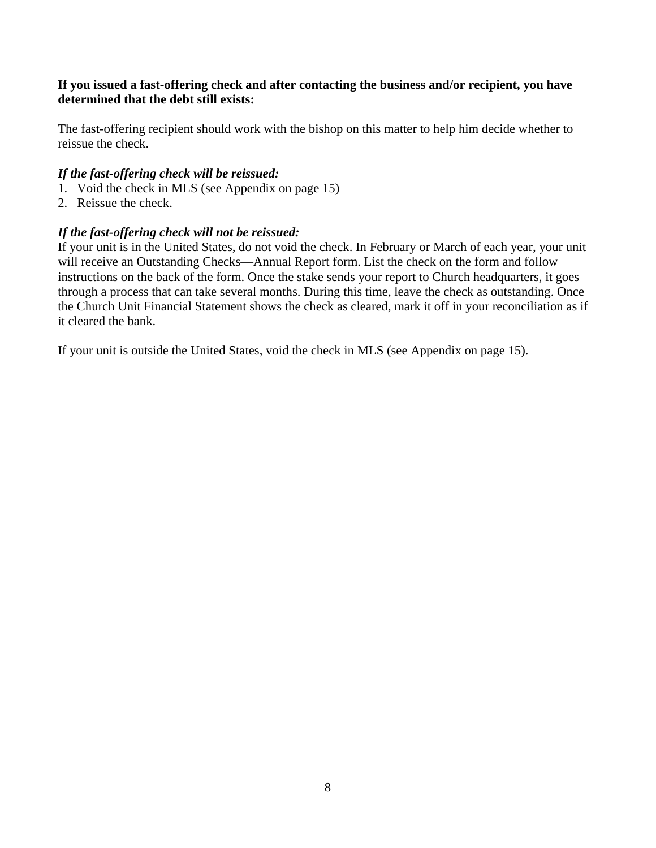#### **If you issued a fast-offering check and after contacting the business and/or recipient, you have determined that the debt still exists:**

The fast-offering recipient should work with the bishop on this matter to help him decide whether to reissue the check.

#### *If the fast-offering check will be reissued:*

- 1. Void the check in MLS (see Appendix on page 15)
- 2. Reissue the check.

#### *If the fast-offering check will not be reissued:*

If your unit is in the United States, do not void the check. In February or March of each year, your unit will receive an Outstanding Checks—Annual Report form. List the check on the form and follow instructions on the back of the form. Once the stake sends your report to Church headquarters, it goes through a process that can take several months. During this time, leave the check as outstanding. Once the Church Unit Financial Statement shows the check as cleared, mark it off in your reconciliation as if it cleared the bank.

If your unit is outside the United States, void the check in MLS (see Appendix on page 15).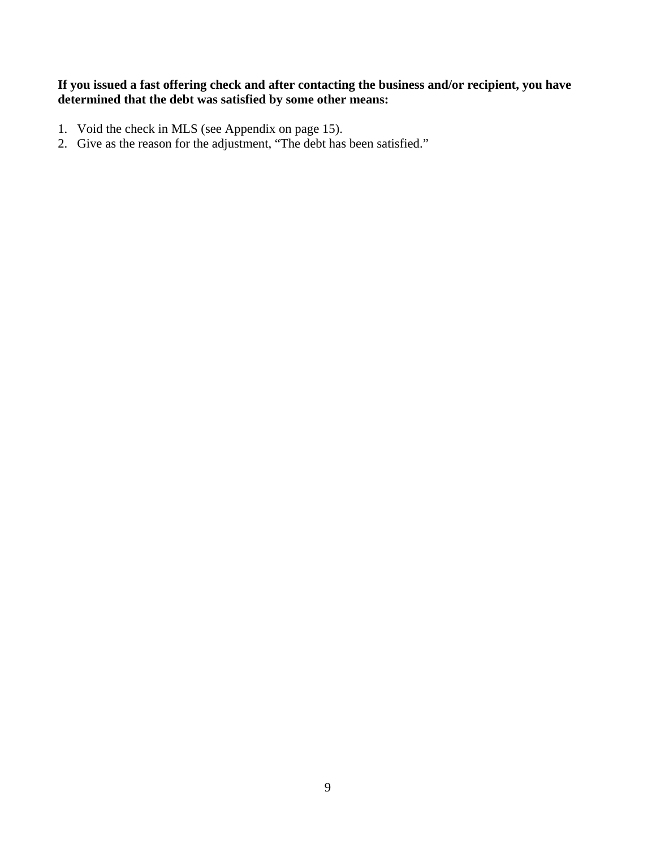#### **If you issued a fast offering check and after contacting the business and/or recipient, you have determined that the debt was satisfied by some other means:**

- 1. Void the check in MLS (see Appendix on page 15).
- 2. Give as the reason for the adjustment, "The debt has been satisfied."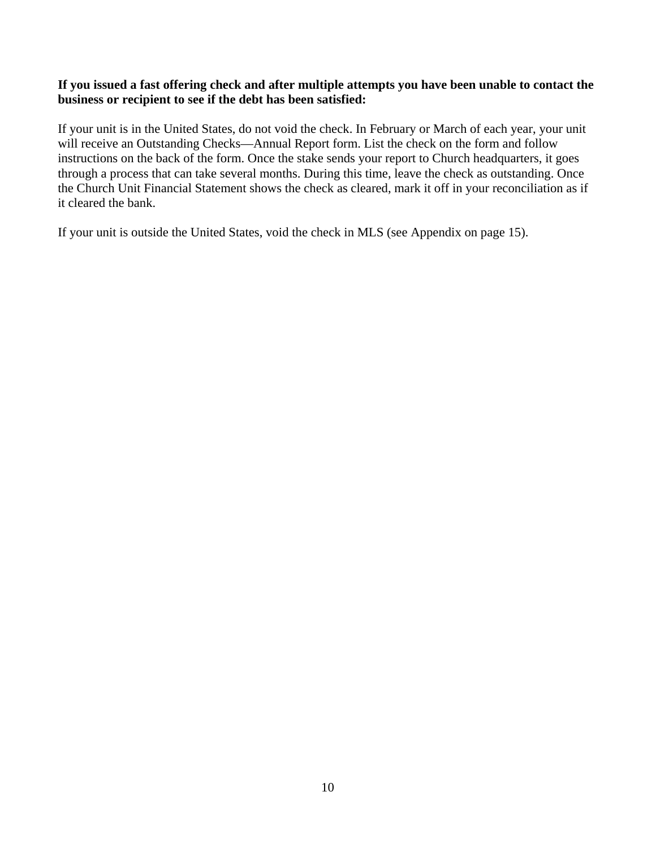#### **If you issued a fast offering check and after multiple attempts you have been unable to contact the business or recipient to see if the debt has been satisfied:**

If your unit is in the United States, do not void the check. In February or March of each year, your unit will receive an Outstanding Checks—Annual Report form. List the check on the form and follow instructions on the back of the form. Once the stake sends your report to Church headquarters, it goes through a process that can take several months. During this time, leave the check as outstanding. Once the Church Unit Financial Statement shows the check as cleared, mark it off in your reconciliation as if it cleared the bank.

If your unit is outside the United States, void the check in MLS (see Appendix on page 15).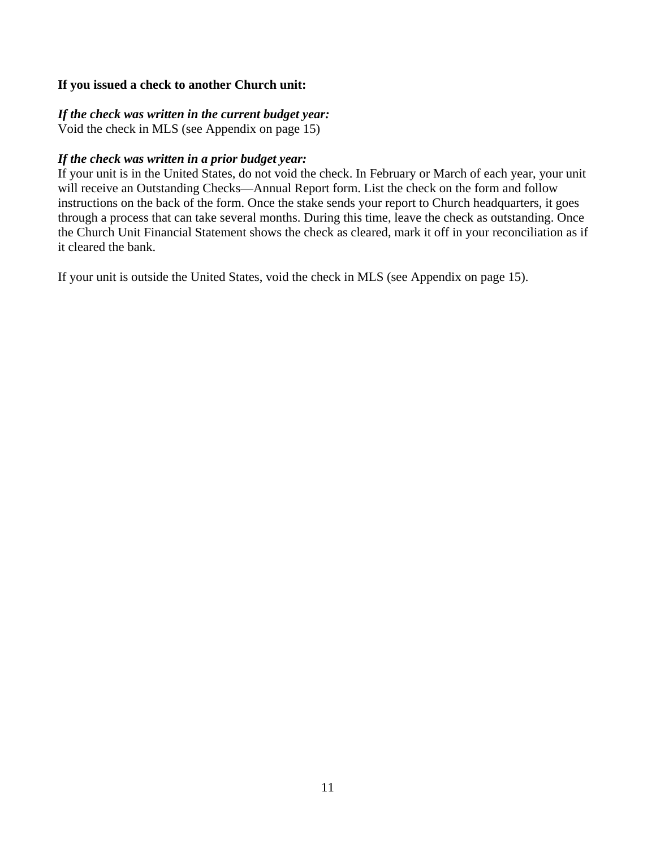#### **If you issued a check to another Church unit:**

#### *If the check was written in the current budget year:*

Void the check in MLS (see Appendix on page 15)

#### *If the check was written in a prior budget year:*

If your unit is in the United States, do not void the check. In February or March of each year, your unit will receive an Outstanding Checks—Annual Report form. List the check on the form and follow instructions on the back of the form. Once the stake sends your report to Church headquarters, it goes through a process that can take several months. During this time, leave the check as outstanding. Once the Church Unit Financial Statement shows the check as cleared, mark it off in your reconciliation as if it cleared the bank.

If your unit is outside the United States, void the check in MLS (see Appendix on page 15).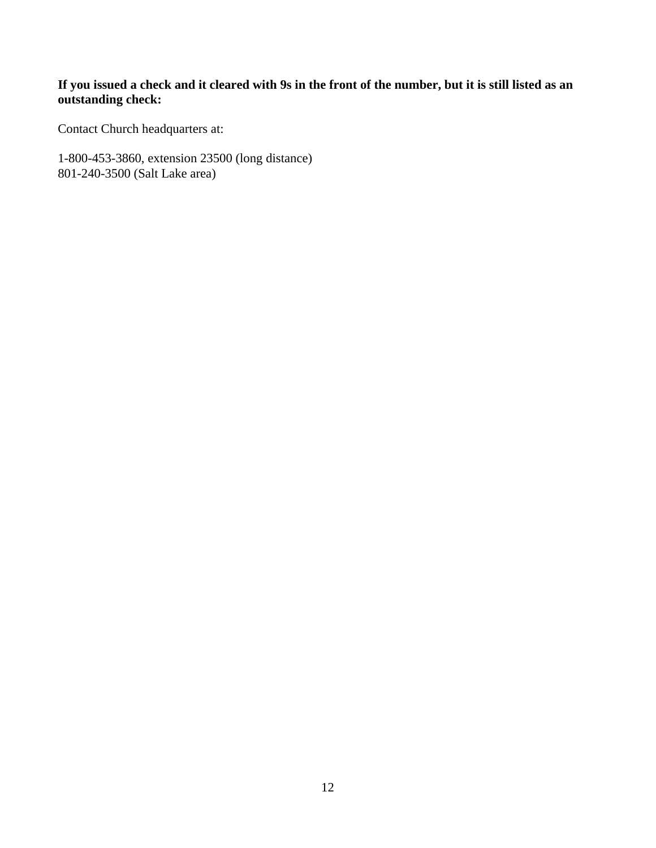#### **If you issued a check and it cleared with 9s in the front of the number, but it is still listed as an outstanding check:**

Contact Church headquarters at:

1-800-453-3860, extension 23500 (long distance) 801-240-3500 (Salt Lake area)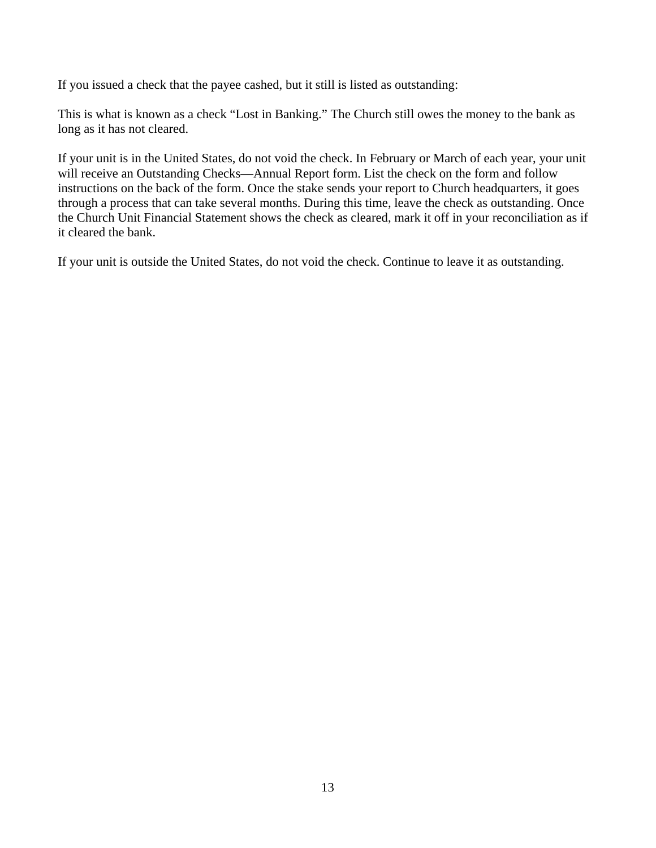If you issued a check that the payee cashed, but it still is listed as outstanding:

This is what is known as a check "Lost in Banking." The Church still owes the money to the bank as long as it has not cleared.

If your unit is in the United States, do not void the check. In February or March of each year, your unit will receive an Outstanding Checks—Annual Report form. List the check on the form and follow instructions on the back of the form. Once the stake sends your report to Church headquarters, it goes through a process that can take several months. During this time, leave the check as outstanding. Once the Church Unit Financial Statement shows the check as cleared, mark it off in your reconciliation as if it cleared the bank.

If your unit is outside the United States, do not void the check. Continue to leave it as outstanding.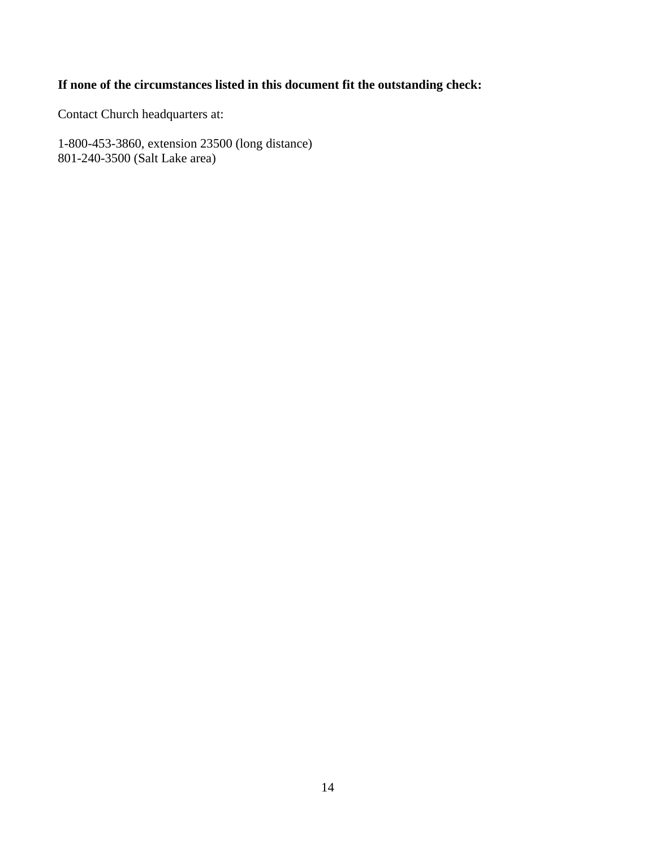### **If none of the circumstances listed in this document fit the outstanding check:**

Contact Church headquarters at:

1-800-453-3860, extension 23500 (long distance) 801-240-3500 (Salt Lake area)